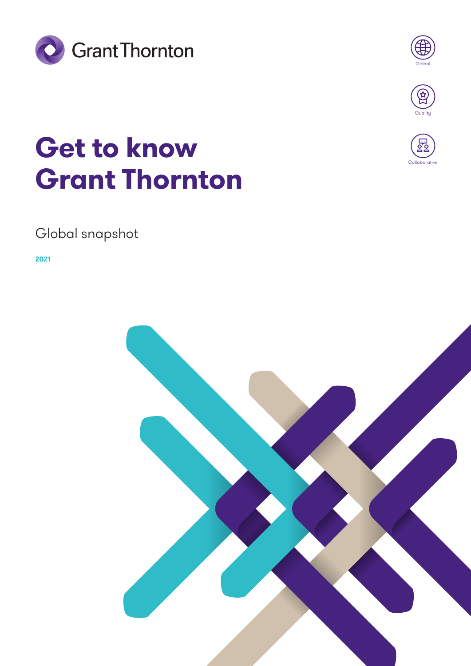



# **Get to know Grant Thornton**



Collaborative

## Global snapshot

**2021**

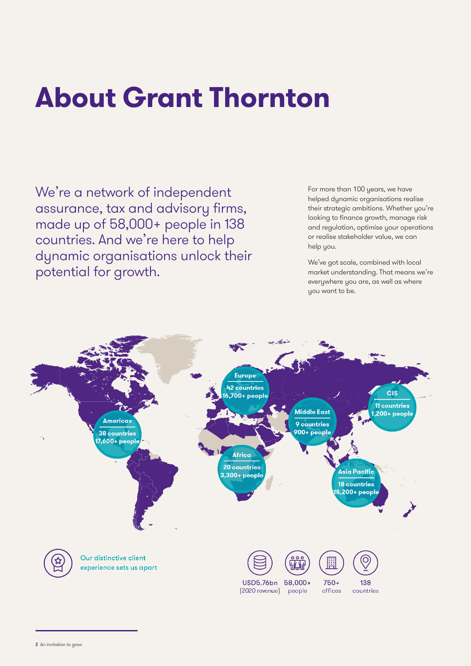# **About Grant Thornton**

We're a network of independent assurance, tax and advisory firms, made up of 58,000+ people in 138 countries. And we're here to help dynamic organisations unlock their potential for growth.

For more than 100 years, we have helped dynamic organisations realise their strategic ambitions. Whether you're looking to finance growth, manage risk and regulation, optimise your operations or realise stakeholder value, we can help you.

We've got scale, combined with local market understanding. That means we're everywhere you are, as well as where you want to be.

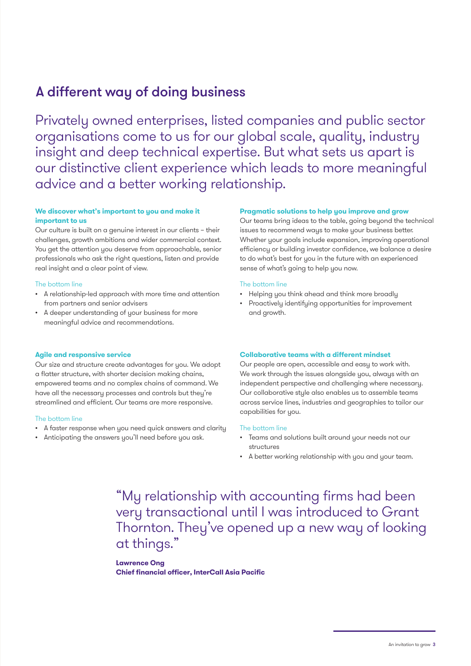## A different way of doing business

Privately owned enterprises, listed companies and public sector organisations come to us for our global scale, quality, industry insight and deep technical expertise. But what sets us apart is our distinctive client experience which leads to more meaningful advice and a better working relationship.

#### **We discover what's important to you and make it important to us**

Our culture is built on a genuine interest in our clients – their challenges, growth ambitions and wider commercial context. You get the attention you deserve from approachable, senior professionals who ask the right questions, listen and provide real insight and a clear point of view.

#### The bottom line

- A relationship-led approach with more time and attention from partners and senior advisers
- A deeper understanding of your business for more meaningful advice and recommendations.

#### **Agile and responsive service**

Our size and structure create advantages for you. We adopt a flatter structure, with shorter decision making chains, empowered teams and no complex chains of command. We have all the necessary processes and controls but they're streamlined and efficient. Our teams are more responsive.

#### The bottom line

- A faster response when you need quick answers and clarity
- Anticipating the answers you'll need before you ask.

#### **Pragmatic solutions to help you improve and grow**

Our teams bring ideas to the table, going beyond the technical issues to recommend ways to make your business better. Whether your goals include expansion, improving operational efficiency or building investor confidence, we balance a desire to do what's best for you in the future with an experienced sense of what's going to help you now.

#### The bottom line

- Helping you think ahead and think more broadly
- Proactively identifying opportunities for improvement and growth.

#### **Collaborative teams with a different mindset**

Our people are open, accessible and easy to work with. We work through the issues alongside you, always with an independent perspective and challenging where necessary. Our collaborative style also enables us to assemble teams across service lines, industries and geographies to tailor our capabilities for you.

#### The bottom line

- Teams and solutions built around your needs not our structures
- A better working relationship with you and your team.

"My relationship with accounting firms had been very transactional until I was introduced to Grant Thornton. They've opened up a new way of looking at things."

**Lawrence Ong Chief financial officer, InterCall Asia Pacific**